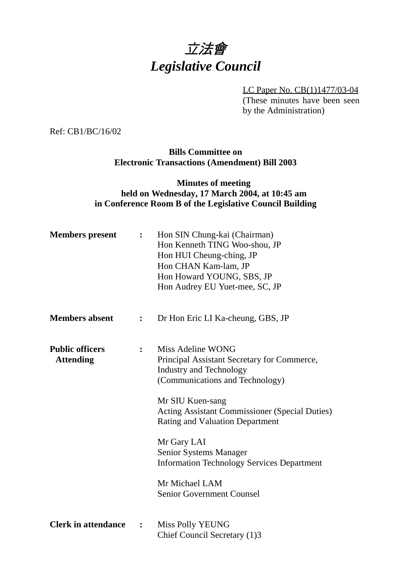

LC Paper No. CB(1)1477/03-04 (These minutes have been seen by the Administration)

Ref: CB1/BC/16/02

**Bills Committee on Electronic Transactions (Amendment) Bill 2003**

## **Minutes of meeting held on Wednesday, 17 March 2004, at 10:45 am in Conference Room B of the Legislative Council Building**

| <b>Members</b> present                     | $\ddot{\cdot}$ | Hon SIN Chung-kai (Chairman)<br>Hon Kenneth TING Woo-shou, JP<br>Hon HUI Cheung-ching, JP<br>Hon CHAN Kam-lam, JP<br>Hon Howard YOUNG, SBS, JP<br>Hon Audrey EU Yuet-mee, SC, JP                                                                                                                                                                                                                                        |
|--------------------------------------------|----------------|-------------------------------------------------------------------------------------------------------------------------------------------------------------------------------------------------------------------------------------------------------------------------------------------------------------------------------------------------------------------------------------------------------------------------|
| <b>Members absent</b>                      | $\ddot{\cdot}$ | Dr Hon Eric LI Ka-cheung, GBS, JP                                                                                                                                                                                                                                                                                                                                                                                       |
| <b>Public officers</b><br><b>Attending</b> | $\ddot{\cdot}$ | Miss Adeline WONG<br>Principal Assistant Secretary for Commerce,<br><b>Industry and Technology</b><br>(Communications and Technology)<br>Mr SIU Kuen-sang<br><b>Acting Assistant Commissioner (Special Duties)</b><br><b>Rating and Valuation Department</b><br>Mr Gary LAI<br><b>Senior Systems Manager</b><br><b>Information Technology Services Department</b><br>Mr Michael LAM<br><b>Senior Government Counsel</b> |
| <b>Clerk in attendance</b>                 | :              | <b>Miss Polly YEUNG</b><br>Chief Council Secretary (1)3                                                                                                                                                                                                                                                                                                                                                                 |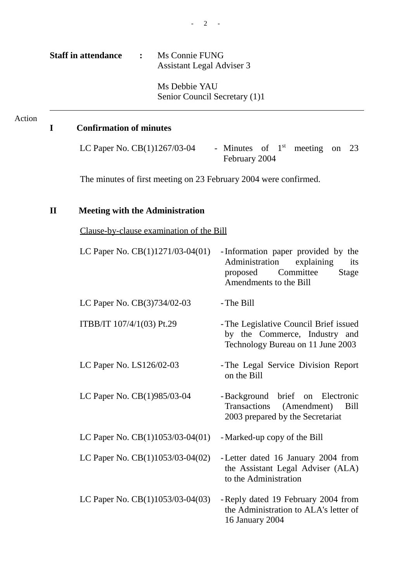Ms Debbie YAU Senior Council Secretary (1)1

# **I Confirmation of minutes**

Action

LC Paper No. CB(1)1267/03-04 - Minutes of  $1<sup>st</sup>$  meeting on 23 February 2004

The minutes of first meeting on 23 February 2004 were confirmed.

# **II Meeting with the Administration**

Clause-by-clause examination of the Bill

| LC Paper No. $CB(1)1271/03-04(01)$ | -Information paper provided by the<br>Administration<br>explaining<br>its<br>Committee<br>proposed<br>Stage<br>Amendments to the Bill |
|------------------------------------|---------------------------------------------------------------------------------------------------------------------------------------|
| LC Paper No. CB(3)734/02-03        | - The Bill                                                                                                                            |
| ITBB/IT 107/4/1(03) Pt.29          | - The Legislative Council Brief issued<br>by the Commerce, Industry and<br>Technology Bureau on 11 June 2003                          |
| LC Paper No. LS126/02-03           | - The Legal Service Division Report<br>on the Bill                                                                                    |
| LC Paper No. CB(1)985/03-04        | -Background brief on Electronic<br>Transactions (Amendment)<br><b>Bill</b><br>2003 prepared by the Secretariat                        |
| LC Paper No. CB(1)1053/03-04(01)   | - Marked-up copy of the Bill                                                                                                          |
| LC Paper No. $CB(1)1053/03-04(02)$ | - Letter dated 16 January 2004 from<br>the Assistant Legal Adviser (ALA)<br>to the Administration                                     |
| LC Paper No. CB(1)1053/03-04(03)   | - Reply dated 19 February 2004 from<br>the Administration to ALA's letter of<br>16 January 2004                                       |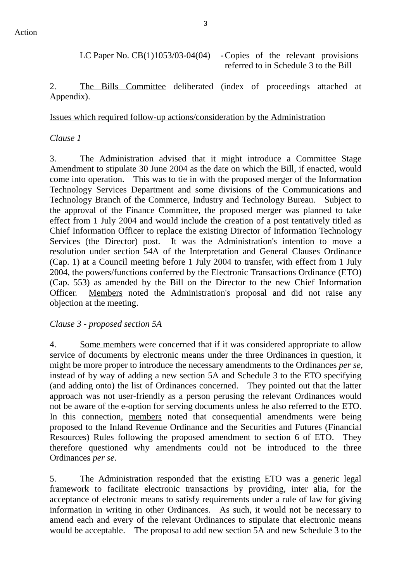LC Paper No. CB(1)1053/03-04(04) - Copies of the relevant provisions

referred to in Schedule 3 to the Bill

2. The Bills Committee deliberated (index of proceedings attached at Appendix).

## Issues which required follow-up actions/consideration by the Administration

## *Clause 1*

3. The Administration advised that it might introduce a Committee Stage Amendment to stipulate 30 June 2004 as the date on which the Bill, if enacted, would come into operation. This was to tie in with the proposed merger of the Information Technology Services Department and some divisions of the Communications and Technology Branch of the Commerce, Industry and Technology Bureau. Subject to the approval of the Finance Committee, the proposed merger was planned to take effect from 1 July 2004 and would include the creation of a post tentatively titled as Chief Information Officer to replace the existing Director of Information Technology Services (the Director) post. It was the Administration's intention to move a resolution under section 54A of the Interpretation and General Clauses Ordinance (Cap. 1) at a Council meeting before 1 July 2004 to transfer, with effect from 1 July 2004, the powers/functions conferred by the Electronic Transactions Ordinance (ETO) (Cap. 553) as amended by the Bill on the Director to the new Chief Information Officer. Members noted the Administration's proposal and did not raise any objection at the meeting.

### *Clause 3 - proposed section 5A*

4. Some members were concerned that if it was considered appropriate to allow service of documents by electronic means under the three Ordinances in question, it might be more proper to introduce the necessary amendments to the Ordinances *per se*, instead of by way of adding a new section 5A and Schedule 3 to the ETO specifying (and adding onto) the list of Ordinances concerned. They pointed out that the latter approach was not user-friendly as a person perusing the relevant Ordinances would not be aware of the e-option for serving documents unless he also referred to the ETO. In this connection, members noted that consequential amendments were being proposed to the Inland Revenue Ordinance and the Securities and Futures (Financial Resources) Rules following the proposed amendment to section 6 of ETO. They therefore questioned why amendments could not be introduced to the three Ordinances *per se*.

5. The Administration responded that the existing ETO was a generic legal framework to facilitate electronic transactions by providing, inter alia, for the acceptance of electronic means to satisfy requirements under a rule of law for giving information in writing in other Ordinances. As such, it would not be necessary to amend each and every of the relevant Ordinances to stipulate that electronic means would be acceptable. The proposal to add new section 5A and new Schedule 3 to the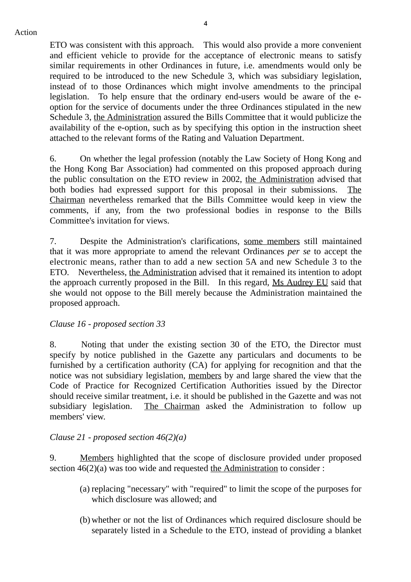ETO was consistent with this approach. This would also provide a more convenient and efficient vehicle to provide for the acceptance of electronic means to satisfy similar requirements in other Ordinances in future, i.e. amendments would only be required to be introduced to the new Schedule 3, which was subsidiary legislation, instead of to those Ordinances which might involve amendments to the principal legislation. To help ensure that the ordinary end-users would be aware of the eoption for the service of documents under the three Ordinances stipulated in the new Schedule 3, the Administration assured the Bills Committee that it would publicize the availability of the e-option, such as by specifying this option in the instruction sheet attached to the relevant forms of the Rating and Valuation Department.

6. On whether the legal profession (notably the Law Society of Hong Kong and the Hong Kong Bar Association) had commented on this proposed approach during the public consultation on the ETO review in 2002, the Administration advised that both bodies had expressed support for this proposal in their submissions. The Chairman nevertheless remarked that the Bills Committee would keep in view the comments, if any, from the two professional bodies in response to the Bills Committee's invitation for views.

7. Despite the Administration's clarifications, some members still maintained that it was more appropriate to amend the relevant Ordinances *per se* to accept the electronic means, rather than to add a new section 5A and new Schedule 3 to the ETO. Nevertheless, the Administration advised that it remained its intention to adopt the approach currently proposed in the Bill. In this regard, Ms Audrey EU said that she would not oppose to the Bill merely because the Administration maintained the proposed approach.

#### *Clause 16 - proposed section 33*

8. Noting that under the existing section 30 of the ETO, the Director must specify by notice published in the Gazette any particulars and documents to be furnished by a certification authority (CA) for applying for recognition and that the notice was not subsidiary legislation, members by and large shared the view that the Code of Practice for Recognized Certification Authorities issued by the Director should receive similar treatment, i.e. it should be published in the Gazette and was not subsidiary legislation. The Chairman asked the Administration to follow up members' view.

#### *Clause 21 - proposed section 46(2)(a)*

9. Members highlighted that the scope of disclosure provided under proposed section  $46(2)(a)$  was too wide and requested the Administration to consider :

- (a) replacing "necessary" with "required" to limit the scope of the purposes for which disclosure was allowed; and
- (b) whether or not the list of Ordinances which required disclosure should be separately listed in a Schedule to the ETO, instead of providing a blanket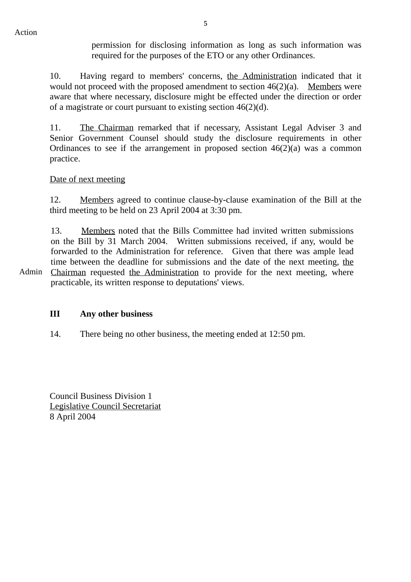permission for disclosing information as long as such information was required for the purposes of the ETO or any other Ordinances.

10. Having regard to members' concerns, the Administration indicated that it would not proceed with the proposed amendment to section  $46(2)(a)$ . Members were aware that where necessary, disclosure might be effected under the direction or order of a magistrate or court pursuant to existing section 46(2)(d).

11. The Chairman remarked that if necessary, Assistant Legal Adviser 3 and Senior Government Counsel should study the disclosure requirements in other Ordinances to see if the arrangement in proposed section  $46(2)(a)$  was a common practice.

#### Date of next meeting

12. Members agreed to continue clause-by-clause examination of the Bill at the third meeting to be held on 23 April 2004 at 3:30 pm.

13. Members noted that the Bills Committee had invited written submissions on the Bill by 31 March 2004. Written submissions received, if any, would be forwarded to the Administration for reference. Given that there was ample lead time between the deadline for submissions and the date of the next meeting, the Chairman requested the Administration to provide for the next meeting, where

 Admin practicable, its written response to deputations' views.

#### **III Any other business**

14. There being no other business, the meeting ended at 12:50 pm.

Council Business Division 1 Legislative Council Secretariat 8 April 2004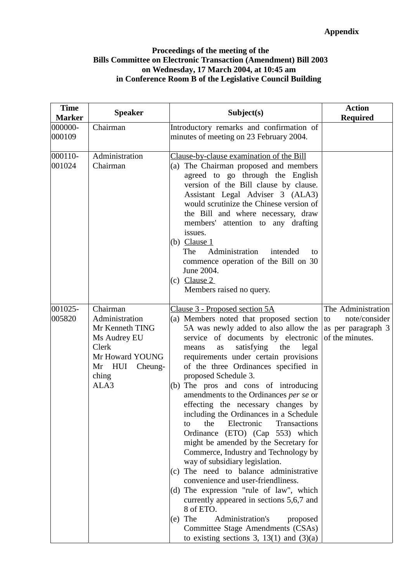#### **Proceedings of the meeting of the Bills Committee on Electronic Transaction (Amendment) Bill 2003 on Wednesday, 17 March 2004, at 10:45 am in Conference Room B of the Legislative Council Building**

| <b>Time</b><br><b>Marker</b> | <b>Speaker</b>                                                                                                                  | Subject(s)                                                                                                                                                                                                                                                                                                                                                                                                                                                                                                                                                                                                                                                                                                                                                                                                                                                                                                                                                                                             | <b>Action</b><br><b>Required</b>                                                   |
|------------------------------|---------------------------------------------------------------------------------------------------------------------------------|--------------------------------------------------------------------------------------------------------------------------------------------------------------------------------------------------------------------------------------------------------------------------------------------------------------------------------------------------------------------------------------------------------------------------------------------------------------------------------------------------------------------------------------------------------------------------------------------------------------------------------------------------------------------------------------------------------------------------------------------------------------------------------------------------------------------------------------------------------------------------------------------------------------------------------------------------------------------------------------------------------|------------------------------------------------------------------------------------|
| 000000-<br>000109            | Chairman                                                                                                                        | Introductory remarks and confirmation of<br>minutes of meeting on 23 February 2004.                                                                                                                                                                                                                                                                                                                                                                                                                                                                                                                                                                                                                                                                                                                                                                                                                                                                                                                    |                                                                                    |
| 000110-<br>001024            | Administration<br>Chairman                                                                                                      | Clause-by-clause examination of the Bill<br>(a) The Chairman proposed and members<br>agreed to go through the English<br>version of the Bill clause by clause.<br>Assistant Legal Adviser 3 (ALA3)<br>would scrutinize the Chinese version of<br>the Bill and where necessary, draw<br>members' attention to any drafting<br>issues.<br>(b) Clause $1$<br>Administration<br>The<br>intended<br>to<br>commence operation of the Bill on 30<br>June 2004.<br>(c) Clause $2$<br>Members raised no query.                                                                                                                                                                                                                                                                                                                                                                                                                                                                                                  |                                                                                    |
| 001025-<br>005820            | Chairman<br>Administration<br>Mr Kenneth TING<br>Ms Audrey EU<br>Clerk<br>Mr Howard YOUNG<br>Mr HUI<br>Cheung-<br>ching<br>ALA3 | Clause 3 - Proposed section 5A<br>(a) Members noted that proposed section<br>5A was newly added to also allow the<br>service of documents by electronic<br>satisfying the<br>legal<br>means<br>as<br>requirements under certain provisions<br>of the three Ordinances specified in<br>proposed Schedule 3.<br>(b) The pros and cons of introducing<br>amendments to the Ordinances per se or<br>effecting the necessary changes by<br>including the Ordinances in a Schedule<br>Electronic<br>the<br>Transactions<br>to<br>Ordinance<br>(ETO) (Cap 553) which<br>might be amended by the Secretary for<br>Commerce, Industry and Technology by<br>way of subsidiary legislation.<br>(c) The need to balance administrative<br>convenience and user-friendliness.<br>(d) The expression "rule of law", which<br>currently appeared in sections 5,6,7 and<br>8 of ETO.<br>$(e)$ The<br>Administration's<br>proposed<br>Committee Stage Amendments (CSAs)<br>to existing sections 3, $13(1)$ and $(3)(a)$ | The Administration<br>note/consider<br>to<br>as per paragraph 3<br>of the minutes. |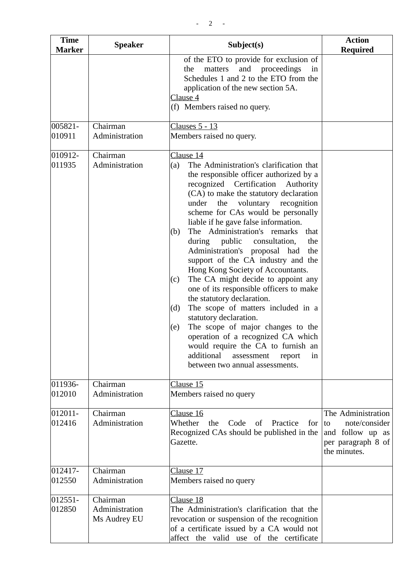| <b>Time</b><br><b>Marker</b> | <b>Speaker</b>                             | Subject(s)                                                                                                                                                                                                                                                                                                                                                                                                                                                                                                                                                                                                                                                                                                                                                                                                                                                                                                                   | <b>Action</b><br><b>Required</b>                                                                    |
|------------------------------|--------------------------------------------|------------------------------------------------------------------------------------------------------------------------------------------------------------------------------------------------------------------------------------------------------------------------------------------------------------------------------------------------------------------------------------------------------------------------------------------------------------------------------------------------------------------------------------------------------------------------------------------------------------------------------------------------------------------------------------------------------------------------------------------------------------------------------------------------------------------------------------------------------------------------------------------------------------------------------|-----------------------------------------------------------------------------------------------------|
|                              |                                            | of the ETO to provide for exclusion of<br>and proceedings<br>matters<br>the<br>in<br>Schedules 1 and 2 to the ETO from the<br>application of the new section 5A.<br>Clause 4<br>(f) Members raised no query.                                                                                                                                                                                                                                                                                                                                                                                                                                                                                                                                                                                                                                                                                                                 |                                                                                                     |
| 005821-<br>010911            | Chairman<br>Administration                 | <b>Clauses 5 - 13</b><br>Members raised no query.                                                                                                                                                                                                                                                                                                                                                                                                                                                                                                                                                                                                                                                                                                                                                                                                                                                                            |                                                                                                     |
| 010912-<br>011935            | Chairman<br>Administration                 | Clause 14<br>The Administration's clarification that<br>(a)<br>the responsible officer authorized by a<br>recognized Certification<br>Authority<br>(CA) to make the statutory declaration<br>voluntary recognition<br>under<br>the<br>scheme for CAs would be personally<br>liable if he gave false information.<br>The Administration's remarks<br>that<br>(b)<br>during public consultation,<br>the<br>Administration's proposal had<br>the<br>support of the CA industry and the<br>Hong Kong Society of Accountants.<br>The CA might decide to appoint any<br>(c)<br>one of its responsible officers to make<br>the statutory declaration.<br>The scope of matters included in a<br>(d)<br>statutory declaration.<br>The scope of major changes to the<br>(e)<br>operation of a recognized CA which<br>would require the CA to furnish an<br>additional<br>assessment<br>report<br>in<br>between two annual assessments. |                                                                                                     |
| 011936-<br>012010            | Chairman<br>Administration                 | Clause 15<br>Members raised no query                                                                                                                                                                                                                                                                                                                                                                                                                                                                                                                                                                                                                                                                                                                                                                                                                                                                                         |                                                                                                     |
| 012011-<br>012416            | Chairman<br>Administration                 | Clause 16<br>Whether<br>Code<br>Practice<br>the<br>of<br>for<br>Recognized CAs should be published in the<br>Gazette.                                                                                                                                                                                                                                                                                                                                                                                                                                                                                                                                                                                                                                                                                                                                                                                                        | The Administration<br>note/consider<br>to<br>and follow up as<br>per paragraph 8 of<br>the minutes. |
| 012417-<br>012550            | Chairman<br>Administration                 | Clause 17<br>Members raised no query                                                                                                                                                                                                                                                                                                                                                                                                                                                                                                                                                                                                                                                                                                                                                                                                                                                                                         |                                                                                                     |
| 012551-<br>012850            | Chairman<br>Administration<br>Ms Audrey EU | Clause 18<br>The Administration's clarification that the<br>revocation or suspension of the recognition<br>of a certificate issued by a CA would not<br>affect the valid use of the certificate                                                                                                                                                                                                                                                                                                                                                                                                                                                                                                                                                                                                                                                                                                                              |                                                                                                     |